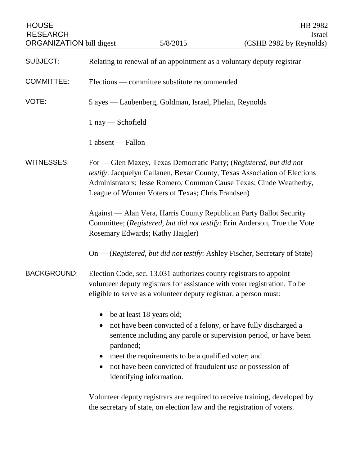| <b>HOUSE</b><br><b>RESEARCH</b><br><b>ORGANIZATION</b> bill digest |                                                                                                                                                                                                                                                                                                                                             | 5/8/2015                                                                | HB 2982<br>Israel<br>(CSHB 2982 by Reynolds)                               |
|--------------------------------------------------------------------|---------------------------------------------------------------------------------------------------------------------------------------------------------------------------------------------------------------------------------------------------------------------------------------------------------------------------------------------|-------------------------------------------------------------------------|----------------------------------------------------------------------------|
|                                                                    |                                                                                                                                                                                                                                                                                                                                             |                                                                         |                                                                            |
| <b>SUBJECT:</b>                                                    | Relating to renewal of an appointment as a voluntary deputy registrar                                                                                                                                                                                                                                                                       |                                                                         |                                                                            |
| <b>COMMITTEE:</b>                                                  | Elections — committee substitute recommended                                                                                                                                                                                                                                                                                                |                                                                         |                                                                            |
| VOTE:                                                              | 5 ayes — Laubenberg, Goldman, Israel, Phelan, Reynolds                                                                                                                                                                                                                                                                                      |                                                                         |                                                                            |
|                                                                    | $1$ nay $-$ Schofield                                                                                                                                                                                                                                                                                                                       |                                                                         |                                                                            |
|                                                                    | 1 absent — Fallon                                                                                                                                                                                                                                                                                                                           |                                                                         |                                                                            |
| <b>WITNESSES:</b>                                                  | For - Glen Maxey, Texas Democratic Party; (Registered, but did not<br>testify: Jacquelyn Callanen, Bexar County, Texas Association of Elections<br>Administrators; Jesse Romero, Common Cause Texas; Cinde Weatherby,<br>League of Women Voters of Texas; Chris Frandsen)                                                                   |                                                                         |                                                                            |
|                                                                    | Against — Alan Vera, Harris County Republican Party Ballot Security<br>Committee; (Registered, but did not testify: Erin Anderson, True the Vote<br>Rosemary Edwards; Kathy Haigler)                                                                                                                                                        |                                                                         |                                                                            |
|                                                                    |                                                                                                                                                                                                                                                                                                                                             |                                                                         | On — (Registered, but did not testify: Ashley Fischer, Secretary of State) |
| <b>BACKGROUND:</b>                                                 | Election Code, sec. 13.031 authorizes county registrars to appoint<br>volunteer deputy registrars for assistance with voter registration. To be<br>eligible to serve as a volunteer deputy registrar, a person must:                                                                                                                        |                                                                         |                                                                            |
|                                                                    | be at least 18 years old;<br>not have been convicted of a felony, or have fully discharged a<br>sentence including any parole or supervision period, or have been<br>pardoned;<br>meet the requirements to be a qualified voter; and<br>$\bullet$<br>not have been convicted of fraudulent use or possession of<br>identifying information. |                                                                         |                                                                            |
|                                                                    |                                                                                                                                                                                                                                                                                                                                             | the secretary of state, on election law and the registration of voters. | Volunteer deputy registrars are required to receive training, developed by |